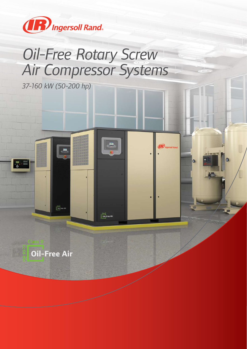

# *Oil-Free Rotary Screw Air Compressor Systems*

 $\frac{1}{2}$  Oil-Free Air

**IR** Ingersoll Rand

 $\bullet$ 

 $\bullet$ 

*37-160 kW (50-200 hp)*



 $\begin{picture}(180,10) \put(0,0){\line(1,0){10}} \put(10,0){\line(1,0){10}} \put(10,0){\line(1,0){10}} \put(10,0){\line(1,0){10}} \put(10,0){\line(1,0){10}} \put(10,0){\line(1,0){10}} \put(10,0){\line(1,0){10}} \put(10,0){\line(1,0){10}} \put(10,0){\line(1,0){10}} \put(10,0){\line(1,0){10}} \put(10,0){\line(1,0){10}} \put(10,0){\line($ 

ra<br>G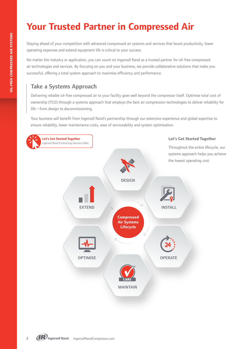# **Your Trusted Partner in Compressed Air**

Staying ahead of your competition with advanced compressed air systems and services that boost productivity, lower operating expenses and extend equipment life is critical to your success.

No matter the industry or application, you can count on Ingersoll Rand as a trusted partner for oil-free compressed air technologies and services. By focusing on you and your business, we provide collaborative solutions that make you successful, offering a total system approach to maximise efficiency and performance.

# Take a Systems Approach

Delivering reliable oil-free compressed air to your facility goes well beyond the compressor itself. Optimise total cost of ownership (TCO) through a systems approach that employs the best air compression technologies to deliver reliability for life—from design to decommissioning.

Your business will benefit from Ingersoll Rand's partnership through our extensive experience and global expertise to ensure reliability, lower maintenance costs, ease of serviceability and system optimisation.

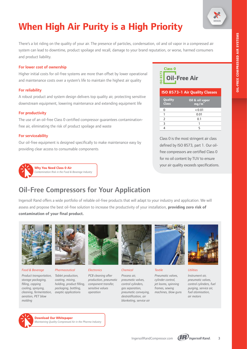

# **When High Air Purity is a High Priority**

There's a lot riding on the quality of your air. The presence of particles, condensation, oil and oil vapor in a compressed air system can lead to downtime, product spoilage and recall, damage to your brand reputation, or worse, harmed consumers and product liability.

#### For lower cost of ownership

Higher initial costs for oil-free systems are more than offset by lower operational and maintenance costs over a system's life to maintain the highest air quality

#### For reliability

A robust product and system design delivers top quality air, protecting sensitive downstream equipment, lowering maintenance and extending equipment life

#### For productivity

The use of an oil-free Class 0 certified compressor guarantees contaminationfree air, eliminating the risk of product spoilage and waste

#### For serviceability

Our oil-free equipment is designed specifically to make maintenance easy by providing clear access to consumable components





| <b>ISO 8573-1 Air Quality Classes</b> |                                      |  |  |  |  |  |
|---------------------------------------|--------------------------------------|--|--|--|--|--|
| Quality<br><b>Class</b>               | Oil & oil vapor<br>mg/m <sup>3</sup> |  |  |  |  |  |
| U                                     | < 0.01                               |  |  |  |  |  |
|                                       | 0.01                                 |  |  |  |  |  |
| $\mathcal{P}$                         | 0.1                                  |  |  |  |  |  |
| 3                                     |                                      |  |  |  |  |  |
|                                       | 5                                    |  |  |  |  |  |

for no oil content by TUV to ensure Class 0 is the most stringent air class defined by ISO 8573, part 1. Our oilfree compressors are certified Class 0 your air quality exceeds specifications.

# Oil-Free Compressors for Your Application

Ingersoll Rand offers a wide portfolio of reliable oil-free products that will adapt to your industry and application. We will assess and propose the best oil-free solution to increase the productivity of your installation, **providing zero risk of contamination of your final product.**



*Food & Beverage*

*Product transportation, Tablet production, storage packaging, filling, capping cooling, spraying, cleaning, fermentation, aseptic applications aeration, PET blow molding*



*Pharmaceutical coating, mixing,* 

*holding, product filling, packaging, bottling,* 



*Electronics*

*PCB cleaning after production, pneumatic component transfer, sensitive values operation*



*Chemical Process air, pneumatic valves, control cylinders, gas separation, pneumatic conveying, destratification, air blanketing, service air*



*Textile*

*Pneumatic valves, cylinder control, jet looms, spinning frames, sewing machines, blow guns*



*Utilities*

*Instrument air, pneumatic valves, control cylinders, fuel purging, service air, fuel atomisation, air motors*

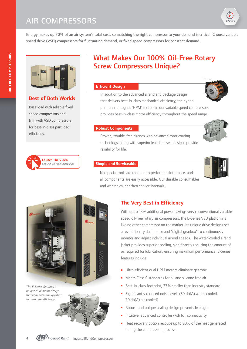

Energy makes up 70% of an air system's total cost, so matching the right compressor to your demand is critical. Choose variable speed drive (VSD) compressors for fluctuating demand, or fixed speed compressors for constant demand.





### **Best of Both Worlds**

Base load with reliable fixed speed compressors and trim with VSD compressors for best-in-class part load efficiency.



# What Makes Our 100% Oil-Free Rotary Screw Compressors Unique?

#### **Efficient Design**



In addition to the advanced airend and package design that delivers best-in-class mechanical efficiency, the hybrid permanent magnet (HPM) motors in our variable speed compressors provides best-in-class motor efficiency throughout the speed range.

#### **Robust Components**



Proven, trouble-free airends with advanced rotor coating technology, along with superior leak-free seal designs provide reliability for life.

#### **Simple and Serviceable**



No special tools are required to perform maintenance, and all components are easily accessible. Our durable consumables and wearables lengthen service intervals.

# **The Very Best in Efficiency**

With up to 13% additional power savings versus conventional variable speed oil-free rotary air compressors, the E-Series VSD platform is like no other compressor on the market. Its unique drive design uses a revolutionary dual motor and "digital gearbox" to continuously monitor and adjust individual airend speeds. The water-cooled airend jacket provides superior cooling, significantly reducing the amount of oil required for lubrication, ensuring maximum performance. E-Series features include:

- **D** Ultra-efficient dual HPM motors eliminate gearbox
- <sup>n</sup> Meets Class 0 standards for oil and silicone free air
- Best-in-class footprint, 37% smaller than industry standard
- Significantly reduced noise levels (69 db(A) water-cooled, 70 db(A) air-cooled)
- Robust and unique sealing design prevents leakage
- Intuitive, advanced controller with IoT connectivity
- Heat recovery option recoups up to 98% of the heat generated during the compression process



*The E-Series features a unique dual motor design that eliminates the gearbox to maximise efficiency.*

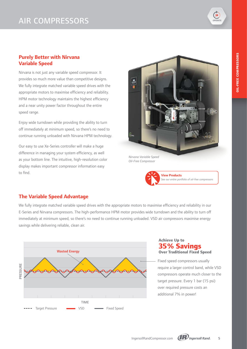

### **Purely Better with Nirvana Variable Speed**

Nirvana is not just any variable speed compressor. It provides so much more value than competitive designs. We fully integrate matched variable speed drives with the appropriate motors to maximise efficiency and reliability. HPM motor technology maintains the highest efficiency and a near unity power factor throughout the entire speed range.

Enjoy wide turndown while providing the ability to turn off immediately at minimum speed, so there's no need to continue running unloaded with Nirvana HPM technology.

Our easy to use Xe-Series controller will make a huge difference in managing your system efficiency, as well as your bottom line. The intuitive, high-resolution color display makes important compressor information easy to find.



*Nirvana Variable Speed Oil-Free Compressor*



### **The Variable Speed Advantage**

We fully integrate matched variable speed drives with the appropriate motors to maximise efficiency and reliability in our E-Series and Nirvana compressors. The high-performance HPM motor provides wide turndown and the ability to turn off immediately at minimum speed, so there's no need to continue running unloaded. VSD air compressors maximise energy savings while delivering reliable, clean air.



### **35% Savings Achieve Up to Over Traditional Fixed Speed**

Fixed speed compressors usually require a larger control band, while VSD compressors operate much closer to the target pressure. Every 1 bar (15 psi) over required pressure costs an additional 7% in power!

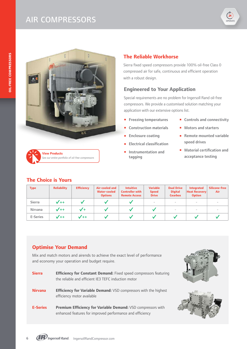# AIR COMPRESSORS



# **View Products** *[See our entire portfolio of oil-free compressors](https://www.ingersollrand.com/en-us/air-compressor/products/oil-free-rotary-screw-air-compressor.html)*

### **The Choice is Yours**

### **The Reliable Workhorse**

Sierra fixed speed compressors provide 100% oil-free Class 0 compressed air for safe, continuous and efficient operation with a robust design.

### **Engineered to Your Application**

Special requirements are no problem for Ingersoll Rand oil-free compressors. We provide a customised solution matching your application with our extensive options list.

- **Freezing temperatures**
- **EXECONSTRUCTION MATERIALS**
- Enclosure coating
- <sup>n</sup> Electrical classification
- <sup>n</sup> Instrumentation and tagging
- **n** Controls and connectivity
- **n** Motors and starters
- $\blacksquare$  Remote mounted variable speed drives
- **n** Material certification and acceptance testing

| <b>Type</b>   | <b>Reliability</b> | <b>Efficiency</b> | Air-cooled and<br><b>Water-cooled</b><br><b>Options</b> | <b>Intuitive</b><br><b>Controller with</b><br><b>Remote Access</b> | <b>Variable</b><br><b>Speed</b><br><b>Drive</b> | <b>Dual Drive</b><br><b>Digital</b><br><b>Gearbox</b> | <b>Integrated</b><br><b>Heat Recovery</b><br><b>Option</b> | Silicone-free<br><b>Air</b>     |
|---------------|--------------------|-------------------|---------------------------------------------------------|--------------------------------------------------------------------|-------------------------------------------------|-------------------------------------------------------|------------------------------------------------------------|---------------------------------|
| <b>Sierra</b> | $V++$              |                   |                                                         |                                                                    | $\overline{\phantom{a}}$                        | $\sim$                                                | $\overline{\phantom{a}}$                                   | $\hspace{0.1mm}-\hspace{0.1mm}$ |
| Nirvana       | $V++$              |                   |                                                         |                                                                    |                                                 | $\overline{\phantom{a}}$                              | $\hspace{0.1mm}-\hspace{0.1mm}$                            | $\overline{\phantom{a}}$        |
| E-Series      | $\sqrt{++}$        | $\sqrt{++}$       |                                                         |                                                                    |                                                 |                                                       |                                                            |                                 |

### **Optimise Your Demand**

Mix and match motors and airends to achieve the exact level of performance and economy your operation and budget require.

**Sierra <b>Efficiency for Constant Demand:** Fixed speed compressors featuring the reliable and efficient IE3 TEFC induction motor **Nirvana Efficiency for Variable Demand:** VSD compressors with the highest efficiency motor available **E-Series Premium Efficiency for Variable Demand:** VSD compressors with enhanced features for improved performance and efficiency





6 **CPP** Ingersoll Rand. Ingersoll RandCompressor.com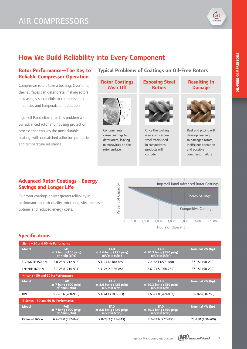# AIR COMPRESSORS



# How We Build Reliability into Every Component

### **Rotor Performance—The Key to Reliable Compressor Operation**

Compressor rotors take a beating. Over time, their surfaces can deteriorate, making rotors increasingly susceptible to compressed air impurities and temperature fluctuation.

Ingersoll Rand eliminates this problem with our advanced rotor and housing protection process that ensures the most durable coating, with unmatched adhesion properties and temperature resistance.



corrode.

### **Advanced Rotor Coatings—Energy Savings and Longer Life**

Our rotor coatings deliver greater reliability in performance and air quality, rotor longevity, increased uptime, and reduced energy costs.



compressor failure.

# **Specifications**

.

| Sierra - 50 and 60 Hz Performance   |                                                         |                                                                    |                                                            |                  |  |  |  |  |  |
|-------------------------------------|---------------------------------------------------------|--------------------------------------------------------------------|------------------------------------------------------------|------------------|--|--|--|--|--|
| <b>Model</b>                        | <b>FAD</b><br>at 7 bar q (100 psiq)<br>$m^3/m$ in (cfm) | <b>FAD</b><br>at 8.6 bar q (125 psig)<br>$m^3/m$ in (cfm)          | <b>FAD</b><br>at 10.3 bar q (150 psig)<br>$m^3/m$ in (cfm) | Nominal kW (hp)  |  |  |  |  |  |
| SL/SM/SH (50 Hz)                    | $6.0 - 25.9(212 - 915)$                                 | 5.1-24.6 (180-869)                                                 | 7.8-22.1 (275-780)                                         | 37-150 (50-200)  |  |  |  |  |  |
| $L/H/HH$ (60 Hz)                    | $6.1 - 25.8(216 - 911)$                                 | 5.3-24.2 (186-854)                                                 | 7.6-21.5 (268-759)                                         | 37-150 (50-200)  |  |  |  |  |  |
| Nirvana - 50 and 60 Hz Performance  |                                                         |                                                                    |                                                            |                  |  |  |  |  |  |
| <b>Model</b>                        | <b>FAD</b><br>at 7 bar q (100 psig)<br>$m3/min$ (cfm)   | <b>FAD</b><br>at 8.6 bar $q(125 \text{ psig})$<br>$m^3/m$ in (cfm) | <b>FAD</b><br>at 10.3 bar g (150 psig)<br>$m^3/m$ in (cfm) | Nominal kW (hp)  |  |  |  |  |  |
| <b>IRN</b>                          | 5.7-25.6 (200-906)                                      | 5.1-24.1 (180-853)                                                 | 7.6 -22.8 (269-807)                                        | 37-160 (50-200)  |  |  |  |  |  |
| E-Series - 50 and 60 Hz Performance |                                                         |                                                                    |                                                            |                  |  |  |  |  |  |
| <b>Model</b>                        | <b>FAD</b><br>at 7 bar q (100 psig)<br>$m3/min$ (cfm)   | <b>FAD</b><br>at 8.6 bar g (125 psig)<br>$m3/min$ (cfm)            | <b>FAD</b><br>at 10.3 bar q (150 psiq)<br>$m^3/m$ in (cfm) | Nominal kW (hp)  |  |  |  |  |  |
| E75ne-E160ne                        | $6.7 - 24.0$ (237-847)                                  | 7.0-23.9 (245-843)                                                 | $7.7 - 23.6$ (272-835)                                     | 75-160 (100-200) |  |  |  |  |  |

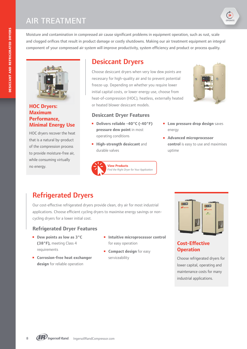Moisture and contamination in compressed air cause significant problems in equipment operation, such as rust, scale and clogged orifices that result in product damage or costly shutdowns. Making our air treatment equipment an integral component of your compressed air system will improve productivity, system efficiency and product or process quality.



### **HOC Dryers: Maximum Performance, Minimal Energy Use**

HOC dryers recover the heat that is a natural by-product of the compression process to provide moisture-free air, while consuming virtually no energy.

# Desiccant Dryers

Choose desiccant dryers when very low dew points are necessary for high-quality air and to prevent potential freeze-up. Depending on whether you require lower initial capital costs, or lower energy use, choose from heat-of-compression (HOC), heatless, externally heated or heated blower desiccant models.



OPERATE

 $24$ 

### **Desiccant Dryer Features**

- **Delivers reliable -40°C (-40°F) pressure dew point** in most operating conditions
- $\blacksquare$  **High-strength desiccant** and durable valves



- **n** Low pressure drop design saves energy
- <sup>n</sup> **Advanced microprocessor control** is easy to use and maximises uptime

# Refrigerated Dryers

Our cost-effective refrigerated dryers provide clean, dry air for most industrial applications. Choose efficient cycling dryers to maximise energy savings or noncycling dryers for a lower initial cost.

### **Refrigerated Dryer Features**

- **E** Dew points as low as 3°C **(38°F),** meeting Class 4 requirements
- **E** Corrosion-free heat exchanger **design** for reliable operation
- **n** Intuitive microprocessor control for easy operation
- **E** Compact design for easy serviceability



### **Cost-Effective Operation**

Choose refrigerated dryers for lower capital, operating and maintenance costs for many industrial applications.

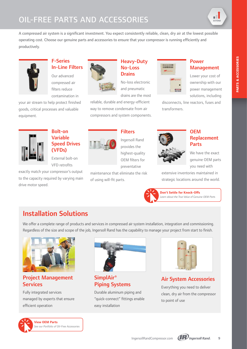# OIL-FREE PARTS AND ACCESSORIES

пL. EXTEND

A compressed air system is a significant investment. You expect consistently reliable, clean, dry air at the lowest possible operating cost. Choose our genuine parts and accessories to ensure that your compressor is running efficiently and productively.



### F-Series In-Line Filters

Our advanced compressed air filters reduce contamination in

your air stream to help protect finished goods, critical processes and valuable equipment.



### Heavy-Duty No-Loss **Drains**

No-loss electronic and pneumatic drains are the most

reliable, durable and energy-efficient way to remove condensate from air compressors and system components.

**TELEPHONE COANGER** 

### Power Management

Lower your cost of ownership with our power management solutions, including

disconnects, line reactors, fuses and transformers.



# Bolt-on Variable Speed Drives (VFDs) External bolt-on

VFD retrofits

exactly match your compressor's output to the capacity required by varying main drive motor speed.



# **Filters**

Ingersoll Rand provides the highest-quality OEM filters for preventative

maintenance that eliminate the risk of using will-fit parts.



### **OFM** Replacement Parts

We have the exact genuine OEM parts you need with

extensive inventories maintained in strategic locations around the world.



**Don't Settle for Knock-Offs**

#### *[Learn about the True Value of Genuine OEM Parts](https://www.ingersollrand.com/en-us/news/2017/uncapping-the-true-value-of-oem-products.html)*

# Installation Solutions

We offer a complete range of products and services in compressed air system installation, integration and commissioning. Regardless of the size and scope of the job, Ingersoll Rand has the capability to manage your project from start to finish.



# Project Management **Services**

Fully integrated services managed by experts that ensure efficient operation



SimplAir® Piping Systems

Durable aluminum piping and "quick-connect" fittings enable easy installation



# Air System Accessories

Everything you need to deliver clean, dry air from the compressor to point of use



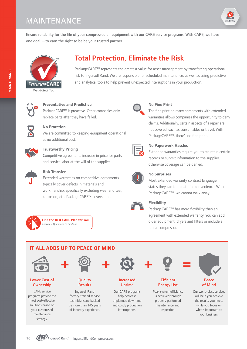# MAINTENANCE



Ensure reliability for the life of your compressed air equipment with our CARE service programs. With CARE, we have one goal —to earn the right to be be your trusted partner.



# Total Protection, Eliminate the Risk

PackageCARE™ represents the greatest value for asset management by transferring operational risk to Ingersoll Rand. We are responsible for scheduled maintenance, as well as using predictive and analytical tools to help prevent unexpected interruptions in your production.



#### **Preventative and Predictive**

PackageCARE™ is proactive. Other companies only replace parts after they have failed.



### **No Proration**

We are committed to keeping equipment operational at no additional cost.



#### **Trustworthy Pricing**

Competitive agreements increase in price for parts and service labor at the will of the supplier.



### **Risk Transfer**

Extended warranties on competitive agreements typically cover defects in materials and workmanship, specifically excluding wear and tear, corrosion, etc. PackageCARE™ covers it all.



**[Find the Best CARE Plan for You](https://www.ingersollrand.com/en-us/air-compressor/compressed-air-services/maintenance-plans.html#packagecare%e2%84%a2)** *Answer 7 Questions to Find Out!*



#### **No Fine Print**

The fine print on many agreements with extended warranties allows companies the opportunity to deny claims. Additionally, certain aspects of a repair are not covered, such as consumables or travel. With PackageCARE™, there's no fine print.



#### **No Paperwork Hassles**

Extended warranties require you to maintain certain records or submit information to the supplier, otherwise coverage can be denied.



### **No Surprises**

Most extended warranty contract language states they can terminate for convenience. With PackageCARE™, we cannot walk away.



### **Flexibility**

PackageCARE™ has more flexibility than an agreement with extended warranty. You can add older equipment, dryers and filters or include a rental compressor.





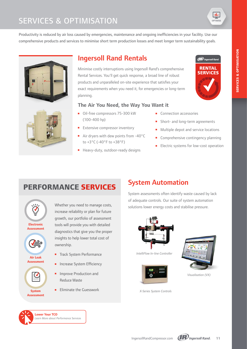# SERVICES & OPTIMISATION



**IR** Ingersoll Rand

**RENTAL SERVICES** 

Productivity is reduced by air loss caused by emergencies, maintenance and ongoing inefficiencies in your facility. Use our comprehensive products and services to minimise short term production losses and meet longer term sustainability goals.





# Ingersoll Rand Rentals

Minimise costly interruptions using Ingersoll Rand's comprehensive Rental Services. You'll get quick response, a broad line of robust products and unparalleled on-site experience that satisfies your exact requirements when you need it, for emergencies or long-term planning.

### **The Air You Need, the Way You Want it**

- Oil-free compressors 75-300 kW (100-400 hp)
- Extensive compressor inventory
- Air dryers with dew points from -40°C to +3°C (-40°F to +38°F)
- Heavy-duty, outdoor-ready designs
- **n** Connection accessories
- **n** Short- and long-term agreements
- **n** Multiple depot and service locations
- $\blacksquare$  Comprehensive contingency planning
- **Electric systems for low-cost operation**

# **PERFORMANCE SERVICES**



Whether you need to manage costs, increase reliability or plan for future growth, our portfolio of assessment tools will provide you with detailed diagnostics that give you the proper insights to help lower total cost of ownership.

- **n** Track System Performance
- Increase System Efficiency
- Improve Production and Reduce Waste
- <sup>n</sup> Eliminate the Guesswork

# System Automation

System assessments often identify waste caused by lack of adequate controls. Our suite of system automation solutions lower energy costs and stabilise pressure.



*IntelliFlow In-line Controller*





*Visualisation (VX)*

*X-Series System Controls*